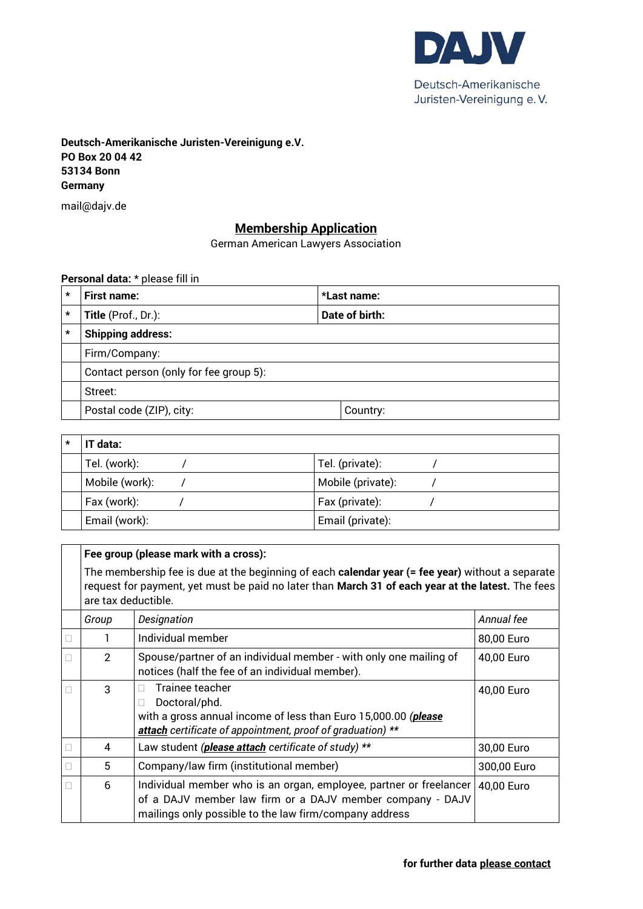

**Deutsch-Amerikanische Juristen-Vereinigung e.V. PO Box 20 04 42 53134 Bonn Germany**

mail@dajv.de

## **Membership Application**

German American Lawyers Association

**Personal data:** \* please fill in

| $\star$                                          | <b>First name:</b><br>*Last name:      |  |          |  |  |
|--------------------------------------------------|----------------------------------------|--|----------|--|--|
| $\star$<br>Title (Prof., Dr.):<br>Date of birth: |                                        |  |          |  |  |
| $\star$                                          | <b>Shipping address:</b>               |  |          |  |  |
|                                                  | Firm/Company:                          |  |          |  |  |
|                                                  | Contact person (only for fee group 5): |  |          |  |  |
|                                                  | Street:                                |  |          |  |  |
|                                                  | Postal code (ZIP), city:               |  | Country: |  |  |

| $\star$ | IT data:       |                   |  |
|---------|----------------|-------------------|--|
|         | Tel. (work):   | Tel. (private):   |  |
|         | Mobile (work): | Mobile (private): |  |
|         | Fax (work):    | Fax (private):    |  |
|         | Email (work):  | Email (private):  |  |

|   | Fee group (please mark with a cross):                                                                                                                                                                                        |                                                                                                                                                                                           |             |  |  |  |
|---|------------------------------------------------------------------------------------------------------------------------------------------------------------------------------------------------------------------------------|-------------------------------------------------------------------------------------------------------------------------------------------------------------------------------------------|-------------|--|--|--|
|   | The membership fee is due at the beginning of each calendar year (= fee year) without a separate<br>request for payment, yet must be paid no later than March 31 of each year at the latest. The fees<br>are tax deductible. |                                                                                                                                                                                           |             |  |  |  |
|   | Group                                                                                                                                                                                                                        | Designation                                                                                                                                                                               | Annual fee  |  |  |  |
|   |                                                                                                                                                                                                                              | Individual member                                                                                                                                                                         | 80,00 Euro  |  |  |  |
|   | $\mathcal{P}$                                                                                                                                                                                                                | Spouse/partner of an individual member - with only one mailing of<br>notices (half the fee of an individual member).                                                                      | 40,00 Euro  |  |  |  |
|   | 3                                                                                                                                                                                                                            | Trainee teacher<br>Ш<br>Doctoral/phd.<br>П<br>with a gross annual income of less than Euro 15,000.00 (please<br>attach certificate of appointment, proof of graduation) **                | 40,00 Euro  |  |  |  |
|   | 4                                                                                                                                                                                                                            | Law student (please attach certificate of study) **                                                                                                                                       | 30,00 Euro  |  |  |  |
| П | 5                                                                                                                                                                                                                            | Company/law firm (institutional member)                                                                                                                                                   | 300,00 Euro |  |  |  |
|   | 6                                                                                                                                                                                                                            | Individual member who is an organ, employee, partner or freelancer<br>of a DAJV member law firm or a DAJV member company - DAJV<br>mailings only possible to the law firm/company address | 40,00 Euro  |  |  |  |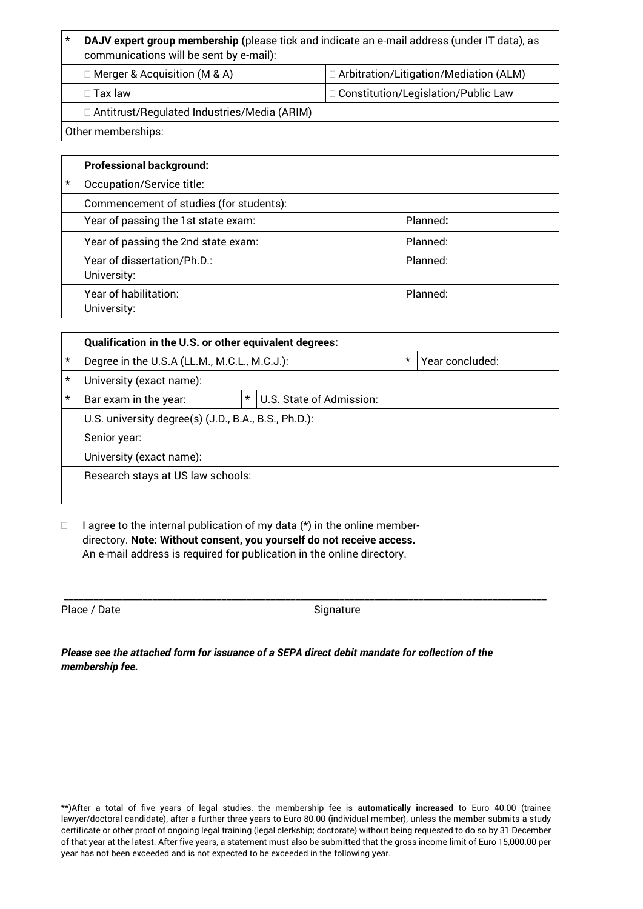| $\star$                                       | DAJV expert group membership (please tick and indicate an e-mail address (under IT data), as<br>communications will be sent by e-mail): |                                               |  |  |  |
|-----------------------------------------------|-----------------------------------------------------------------------------------------------------------------------------------------|-----------------------------------------------|--|--|--|
|                                               | $\Box$ Merger & Acquisition (M & A)                                                                                                     | $\Box$ Arbitration/Litigation/Mediation (ALM) |  |  |  |
|                                               | $\square$ Tax law                                                                                                                       | $\Box$ Constitution/Legislation/Public Law    |  |  |  |
| □ Antitrust/Regulated Industries/Media (ARIM) |                                                                                                                                         |                                               |  |  |  |
| Other memberships:                            |                                                                                                                                         |                                               |  |  |  |

|         | <b>Professional background:</b>            |          |  |  |  |
|---------|--------------------------------------------|----------|--|--|--|
| $\star$ | Occupation/Service title:                  |          |  |  |  |
|         | Commencement of studies (for students):    |          |  |  |  |
|         | Year of passing the 1st state exam:        | Planned: |  |  |  |
|         | Year of passing the 2nd state exam:        | Planned: |  |  |  |
|         | Year of dissertation/Ph.D.:<br>University: | Planned: |  |  |  |
|         | Year of habilitation:<br>University:       | Planned: |  |  |  |

|         | Qualification in the U.S. or other equivalent degrees: |  |         |                 |  |
|---------|--------------------------------------------------------|--|---------|-----------------|--|
| $\star$ | Degree in the U.S.A (LL.M., M.C.L., M.C.J.):           |  | $\star$ | Year concluded: |  |
| $\star$ | University (exact name):                               |  |         |                 |  |
| $\star$ | *<br>U.S. State of Admission:<br>Bar exam in the year: |  |         |                 |  |
|         | U.S. university degree(s) (J.D., B.A., B.S., Ph.D.):   |  |         |                 |  |
|         | Senior year:                                           |  |         |                 |  |
|         | University (exact name):                               |  |         |                 |  |
|         | Research stays at US law schools:                      |  |         |                 |  |
|         |                                                        |  |         |                 |  |

 $\Box$  I agree to the internal publication of my data (\*) in the online memberdirectory. **Note: Without consent, you yourself do not receive access.** An e-mail address is required for publication in the online directory.

Place / Date Signature

\_\_\_\_\_\_\_\_\_\_\_\_\_\_\_\_\_\_\_\_\_\_\_\_\_\_\_\_\_\_\_\_\_\_\_\_\_\_\_\_\_\_\_\_\_\_\_\_\_\_\_\_\_\_\_\_\_\_\_\_\_\_\_\_\_\_\_\_\_\_\_\_\_\_\_\_\_\_\_\_\_\_\_\_\_\_\_\_\_\_\_\_\_\_\_\_\_\_

| Please see the attached form for issuance of a SEPA direct debit mandate for collection of the |  |
|------------------------------------------------------------------------------------------------|--|
| membership fee.                                                                                |  |

\*\*)After a total of five years of legal studies, the membership fee is **automatically increased** to Euro 40.00 (trainee lawyer/doctoral candidate), after a further three years to Euro 80.00 (individual member), unless the member submits a study certificate or other proof of ongoing legal training (legal clerkship; doctorate) without being requested to do so by 31 December of that year at the latest. After five years, a statement must also be submitted that the gross income limit of Euro 15,000.00 per year has not been exceeded and is not expected to be exceeded in the following year.